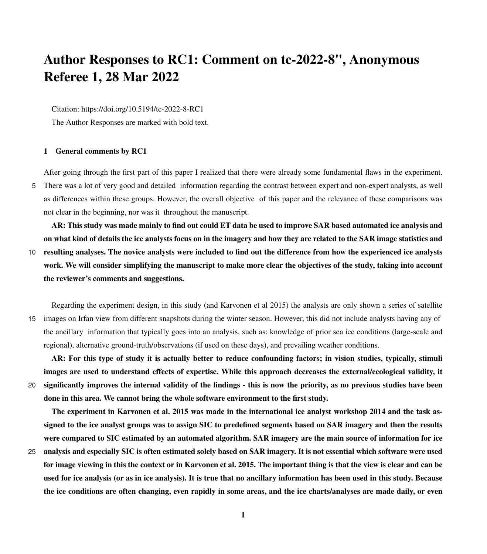## <span id="page-0-0"></span>Author Responses to RC1: Comment on tc-2022-8", Anonymous Referee 1, 28 Mar 2022

Citation: https://doi.org/10.5194/tc-2022-8-RC1

The Author Responses are marked with bold text.

## 1 General comments by RC1

After going through the first part of this paper I realized that there were already some fundamental flaws in the experiment. 5 There was a lot of very good and detailed information regarding the contrast between expert and non-expert analysts, as well as differences within these groups. However, the overall objective of this paper and the relevance of these comparisons was not clear in the beginning, nor was it throughout the manuscript.

AR: This study was made mainly to find out could ET data be used to improve SAR based automated ice analysis and on what kind of details the ice analysts focus on in the imagery and how they are related to the SAR image statistics and

10 resulting analyses. The novice analysts were included to find out the difference from how the experienced ice analysts work. We will consider simplifying the manuscript to make more clear the objectives of the study, taking into account the reviewer's comments and suggestions.

Regarding the experiment design, in this study (and Karvonen et al 2015) the analysts are only shown a series of satellite 15 images on Irfan view from different snapshots during the winter season. However, this did not include analysts having any of the ancillary information that typically goes into an analysis, such as: knowledge of prior sea ice conditions (large-scale and regional), alternative ground-truth/observations (if used on these days), and prevailing weather conditions.

AR: For this type of study it is actually better to reduce confounding factors; in vision studies, typically, stimuli images are used to understand effects of expertise. While this approach decreases the external/ecological validity, it 20 significantly improves the internal validity of the findings - this is now the priority, as no previous studies have been done in this area. We cannot bring the whole software environment to the first study.

The experiment in Karvonen et al. 2015 was made in the international ice analyst workshop 2014 and the task assigned to the ice analyst groups was to assign SIC to predefined segments based on SAR imagery and then the results were compared to SIC estimated by an automated algorithm. SAR imagery are the main source of information for ice

25 analysis and especially SIC is often estimated solely based on SAR imagery. It is not essential which software were used for image viewing in this the context or in Karvonen et al. 2015. The important thing is that the view is clear and can be used for ice analysis (or as in ice analysis). It is true that no ancillary information has been used in this study. Because the ice conditions are often changing, even rapidly in some areas, and the ice charts/analyses are made daily, or even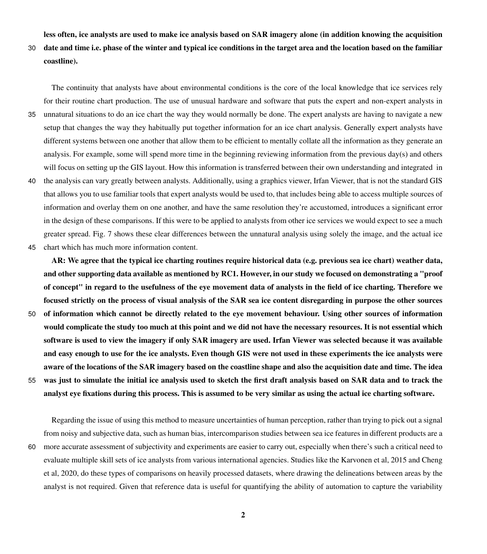less often, ice analysts are used to make ice analysis based on SAR imagery alone (in addition knowing the acquisition

30 date and time i.e. phase of the winter and typical ice conditions in the target area and the location based on the familiar coastline).

The continuity that analysts have about environmental conditions is the core of the local knowledge that ice services rely for their routine chart production. The use of unusual hardware and software that puts the expert and non-expert analysts in

- 35 unnatural situations to do an ice chart the way they would normally be done. The expert analysts are having to navigate a new setup that changes the way they habitually put together information for an ice chart analysis. Generally expert analysts have different systems between one another that allow them to be efficient to mentally collate all the information as they generate an analysis. For example, some will spend more time in the beginning reviewing information from the previous day(s) and others will focus on setting up the GIS layout. How this information is transferred between their own understanding and integrated in
- 40 the analysis can vary greatly between analysts. Additionally, using a graphics viewer, Irfan Viewer, that is not the standard GIS that allows you to use familiar tools that expert analysts would be used to, that includes being able to access multiple sources of information and overlay them on one another, and have the same resolution they're accustomed, introduces a significant error in the design of these comparisons. If this were to be applied to analysts from other ice services we would expect to see a much greater spread. Fig. 7 shows these clear differences between the unnatural analysis using solely the image, and the actual ice 45 chart which has much more information content.

AR: We agree that the typical ice charting routines require historical data (e.g. previous sea ice chart) weather data, and other supporting data available as mentioned by RC1. However, in our study we focused on demonstrating a "proof of concept" in regard to the usefulness of the eye movement data of analysts in the field of ice charting. Therefore we focused strictly on the process of visual analysis of the SAR sea ice content disregarding in purpose the other sources 50 of information which cannot be directly related to the eye movement behaviour. Using other sources of information would complicate the study too much at this point and we did not have the necessary resources. It is not essential which software is used to view the imagery if only SAR imagery are used. Irfan Viewer was selected because it was available and easy enough to use for the ice analysts. Even though GIS were not used in these experiments the ice analysts were aware of the locations of the SAR imagery based on the coastline shape and also the acquisition date and time. The idea 55 was just to simulate the initial ice analysis used to sketch the first draft analysis based on SAR data and to track the analyst eye fixations during this process. This is assumed to be very similar as using the actual ice charting software.

Regarding the issue of using this method to measure uncertainties of human perception, rather than trying to pick out a signal from noisy and subjective data, such as human bias, intercomparison studies between sea ice features in different products are a 60 more accurate assessment of subjectivity and experiments are easier to carry out, especially when there's such a critical need to evaluate multiple skill sets of ice analysts from various international agencies. Studies like the Karvonen et al, 2015 and Cheng et al, 2020, do these types of comparisons on heavily processed datasets, where drawing the delineations between areas by the analyst is not required. Given that reference data is useful for quantifying the ability of automation to capture the variability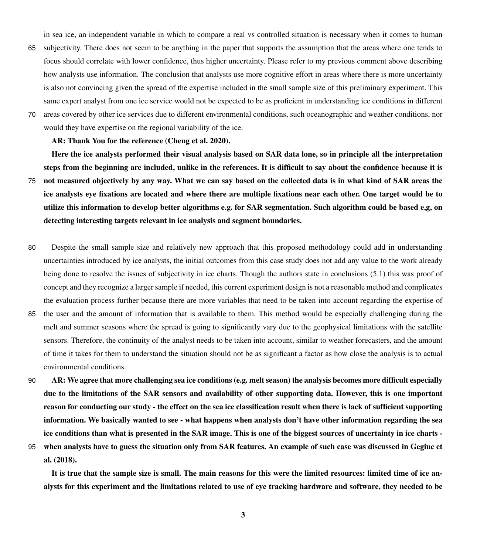in sea ice, an independent variable in which to compare a real vs controlled situation is necessary when it comes to human

- 65 subjectivity. There does not seem to be anything in the paper that supports the assumption that the areas where one tends to focus should correlate with lower confidence, thus higher uncertainty. Please refer to my previous comment above describing how analysts use information. The conclusion that analysts use more cognitive effort in areas where there is more uncertainty is also not convincing given the spread of the expertise included in the small sample size of this preliminary experiment. This same expert analyst from one ice service would not be expected to be as proficient in understanding ice conditions in different
- 70 areas covered by other ice services due to different environmental conditions, such oceanographic and weather conditions, nor would they have expertise on the regional variability of the ice.

AR: Thank You for the reference (Cheng et al. 2020).

Here the ice analysts performed their visual analysis based on SAR data lone, so in principle all the interpretation steps from the beginning are included, unlike in the references. It is difficult to say about the confidence because it is 75 not measured objectively by any way. What we can say based on the collected data is in what kind of SAR areas the ice analysts eye fixations are located and where there are multiple fixations near each other. One target would be to utilize this information to develop better algorithms e.g. for SAR segmentation. Such algorithm could be based e,g, on detecting interesting targets relevant in ice analysis and segment boundaries.

- 80 Despite the small sample size and relatively new approach that this proposed methodology could add in understanding uncertainties introduced by ice analysts, the initial outcomes from this case study does not add any value to the work already being done to resolve the issues of subjectivity in ice charts. Though the authors state in conclusions (5.1) this was proof of concept and they recognize a larger sample if needed, this current experiment design is not a reasonable method and complicates the evaluation process further because there are more variables that need to be taken into account regarding the expertise of
- 85 the user and the amount of information that is available to them. This method would be especially challenging during the melt and summer seasons where the spread is going to significantly vary due to the geophysical limitations with the satellite sensors. Therefore, the continuity of the analyst needs to be taken into account, similar to weather forecasters, and the amount of time it takes for them to understand the situation should not be as significant a factor as how close the analysis is to actual environmental conditions.
- 90 AR: We agree that more challenging sea ice conditions (e.g. melt season) the analysis becomes more difficult especially due to the limitations of the SAR sensors and availability of other supporting data. However, this is one important reason for conducting our study - the effect on the sea ice classification result when there is lack of sufficient supporting information. We basically wanted to see - what happens when analysts don't have other information regarding the sea ice conditions than what is presented in the SAR image. This is one of the biggest sources of uncertainty in ice charts -
- 

95 [w](#page-0-0)hen analysts have to guess the situation only from SAR features. An example of such case was discussed in [Gegiuc et](#page-0-0) [al.](#page-0-0) [\(2018\)](#page-0-0).

It is true that the sample size is small. The main reasons for this were the limited resources: limited time of ice analysts for this experiment and the limitations related to use of eye tracking hardware and software, they needed to be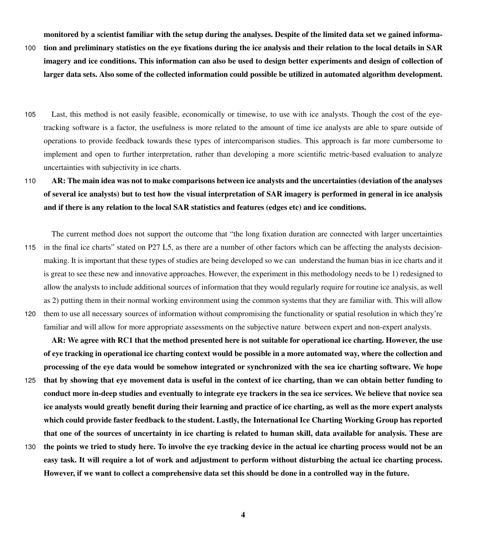monitored by a scientist familiar with the setup during the analyses. Despite of the limited data set we gained informa-

- 100 tion and preliminary statistics on the eye fixations during the ice analysis and their relation to the local details in SAR imagery and ice conditions. This information can also be used to design better experiments and design of collection of larger data sets. Also some of the collected information could possible be utilized in automated algorithm development.
- 105 Last, this method is not easily feasible, economically or timewise, to use with ice analysts. Though the cost of the eyetracking software is a factor, the usefulness is more related to the amount of time ice analysts are able to spare outside of operations to provide feedback towards these types of intercomparison studies. This approach is far more cumbersome to implement and open to further interpretation, rather than developing a more scientific metric-based evaluation to analyze uncertainties with subjectivity in ice charts.
- 110 AR: The main idea was not to make comparisons between ice analysts and the uncertainties (deviation of the analyses of several ice analysts) but to test how the visual interpretation of SAR imagery is performed in general in ice analysis and if there is any relation to the local SAR statistics and features (edges etc) and ice conditions.

The current method does not support the outcome that "the long fixation duration are connected with larger uncertainties 115 in the final ice charts" stated on P27 L5, as there are a number of other factors which can be affecting the analysts decisionmaking. It is important that these types of studies are being developed so we can understand the human bias in ice charts and it is great to see these new and innovative approaches. However, the experiment in this methodology needs to be 1) redesigned to allow the analysts to include additional sources of information that they would regularly require for routine ice analysis, as well as 2) putting them in their normal working environment using the common systems that they are familiar with. This will allow 120 them to use all necessary sources of information without compromising the functionality or spatial resolution in which they're familiar and will allow for more appropriate assessments on the subjective nature between expert and non-expert analysts.

AR: We agree with RC1 that the method presented here is not suitable for operational ice charting. However, the use of eye tracking in operational ice charting context would be possible in a more automated way, where the collection and processing of the eye data would be somehow integrated or synchronized with the sea ice charting software. We hope 125 that by showing that eye movement data is useful in the context of ice charting, than we can obtain better funding to conduct more in-deep studies and eventually to integrate eye trackers in the sea ice services. We believe that novice sea ice analysts would greatly benefit during their learning and practice of ice charting, as well as the more expert analysts which could provide faster feedback to the student. Lastly, the International Ice Charting Working Group has reported that one of the sources of uncertainty in ice charting is related to human skill, data available for analysis. These are 130 the points we tried to study here. To involve the eye tracking device in the actual ice charting process would not be an easy task. It will require a lot of work and adjustment to perform without disturbing the actual ice charting process.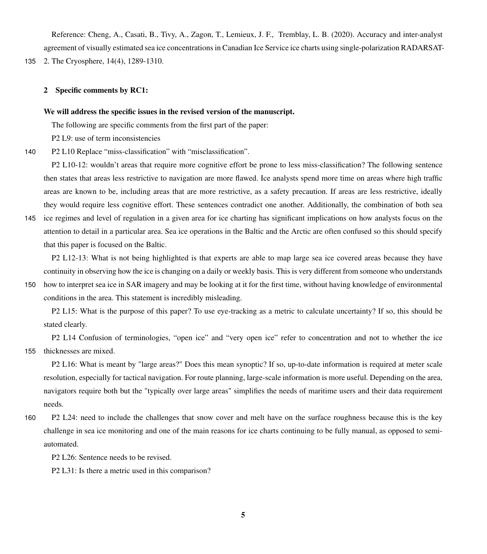Reference: Cheng, A., Casati, B., Tivy, A., Zagon, T., Lemieux, J. F., Tremblay, L. B. (2020). Accuracy and inter-analyst agreement of visually estimated sea ice concentrations in Canadian Ice Service ice charts using single-polarization RADARSAT-

135 2. The Cryosphere, 14(4), 1289-1310.

## 2 Specific comments by RC1:

## We will address the specific issues in the revised version of the manuscript.

The following are specific comments from the first part of the paper:

P2 L9: use of term inconsistencies

140 P2 L10 Replace "miss-classification" with "misclassification".

P2 L10-12: wouldn't areas that require more cognitive effort be prone to less miss-classification? The following sentence then states that areas less restrictive to navigation are more flawed. Ice analysts spend more time on areas where high traffic areas are known to be, including areas that are more restrictive, as a safety precaution. If areas are less restrictive, ideally they would require less cognitive effort. These sentences contradict one another. Additionally, the combination of both sea

145 ice regimes and level of regulation in a given area for ice charting has significant implications on how analysts focus on the attention to detail in a particular area. Sea ice operations in the Baltic and the Arctic are often confused so this should specify that this paper is focused on the Baltic.

P2 L12-13: What is not being highlighted is that experts are able to map large sea ice covered areas because they have continuity in observing how the ice is changing on a daily or weekly basis. This is very different from someone who understands

150 how to interpret sea ice in SAR imagery and may be looking at it for the first time, without having knowledge of environmental conditions in the area. This statement is incredibly misleading.

P2 L15: What is the purpose of this paper? To use eye-tracking as a metric to calculate uncertainty? If so, this should be stated clearly.

P2 L14 Confusion of terminologies, "open ice" and "very open ice" refer to concentration and not to whether the ice 155 thicknesses are mixed.

P2 L16: What is meant by "large areas?" Does this mean synoptic? If so, up-to-date information is required at meter scale resolution, especially for tactical navigation. For route planning, large-scale information is more useful. Depending on the area, navigators require both but the "typically over large areas" simplifies the needs of maritime users and their data requirement needs.

160 P2 L24: need to include the challenges that snow cover and melt have on the surface roughness because this is the key challenge in sea ice monitoring and one of the main reasons for ice charts continuing to be fully manual, as opposed to semiautomated.

P2 L26: Sentence needs to be revised.

P2 L31: Is there a metric used in this comparison?